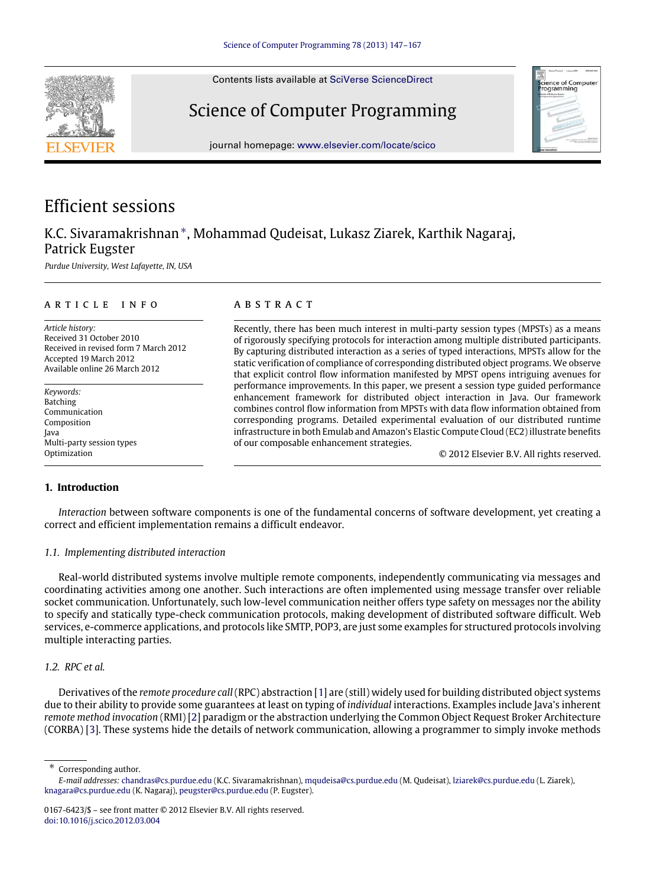Contents lists available at [SciVerse ScienceDirect](http://www.elsevier.com/locate/scico)

# Science of Computer Programming

journal homepage: [www.elsevier.com/locate/scico](http://www.elsevier.com/locate/scico)

# Efficient sessions

K.C. Sivaramakrishnan[∗](#page-0-0) , Mohammad Qudeisat, Lukasz Ziarek, Karthik Nagaraj, Patrick Eugster

*Purdue University, West Lafayette, IN, USA*

#### a r t i c l e i n f o

*Article history:* Received 31 October 2010 Received in revised form 7 March 2012 Accepted 19 March 2012 Available online 26 March 2012

*Keywords:* Batching Communication Composition Java Multi-party session types Optimization

## **1. Introduction**

## a b s t r a c t

Recently, there has been much interest in multi-party session types (MPSTs) as a means of rigorously specifying protocols for interaction among multiple distributed participants. By capturing distributed interaction as a series of typed interactions, MPSTs allow for the static verification of compliance of corresponding distributed object programs. We observe that explicit control flow information manifested by MPST opens intriguing avenues for performance improvements. In this paper, we present a session type guided performance enhancement framework for distributed object interaction in Java. Our framework combines control flow information from MPSTs with data flow information obtained from corresponding programs. Detailed experimental evaluation of our distributed runtime infrastructure in both Emulab and Amazon's Elastic Compute Cloud (EC2) illustrate benefits of our composable enhancement strategies.

© 2012 Elsevier B.V. All rights reserved.

*Interaction* between software components is one of the fundamental concerns of software development, yet creating a correct and efficient implementation remains a difficult endeavor.

## *1.1. Implementing distributed interaction*

Real-world distributed systems involve multiple remote components, independently communicating via messages and coordinating activities among one another. Such interactions are often implemented using message transfer over reliable socket communication. Unfortunately, such low-level communication neither offers type safety on messages nor the ability to specify and statically type-check communication protocols, making development of distributed software difficult. Web services, e-commerce applications, and protocols like SMTP, POP3, are just some examples for structured protocols involving multiple interacting parties.

## *1.2. RPC et al.*

Derivatives of the *remote procedure call* (RPC) abstraction [\[1\]](#page-19-0) are (still) widely used for building distributed object systems due to their ability to provide some guarantees at least on typing of *individual* interactions. Examples include Java's inherent *remote method invocation* (RMI) [\[2\]](#page-19-1) paradigm or the abstraction underlying the Common Object Request Broker Architecture (CORBA) [\[3\]](#page-19-2). These systems hide the details of network communication, allowing a programmer to simply invoke methods

<span id="page-0-0"></span>∗ Corresponding author.





*E-mail addresses:* [chandras@cs.purdue.edu](mailto:chandras@cs.purdue.edu) (K.C. Sivaramakrishnan), [mqudeisa@cs.purdue.edu](mailto:mqudeisa@cs.purdue.edu) (M. Qudeisat), [lziarek@cs.purdue.edu](mailto:lziarek@cs.purdue.edu) (L. Ziarek), [knagara@cs.purdue.edu](mailto:knagara@cs.purdue.edu) (K. Nagaraj), [peugster@cs.purdue.edu](mailto:peugster@cs.purdue.edu) (P. Eugster).

<sup>0167-6423/\$ –</sup> see front matter © 2012 Elsevier B.V. All rights reserved. [doi:10.1016/j.scico.2012.03.004](http://dx.doi.org/10.1016/j.scico.2012.03.004)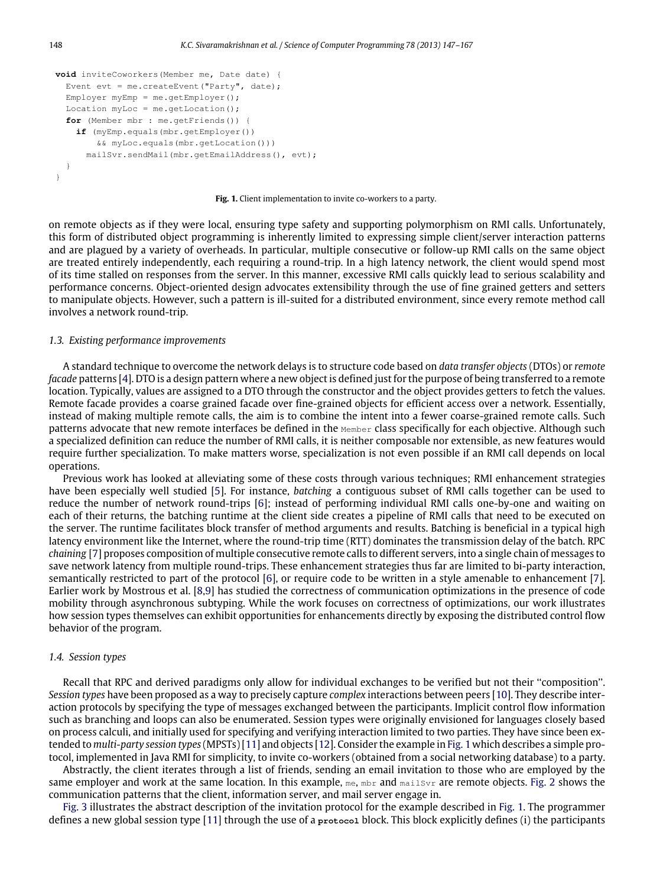```
void inviteCoworkers(Member me, Date date) {
  Event evt = me.createEvent("Party", date);
  Employer myEmp = me.getEmployer();
  Location myLoc = me.getLocation();
  for (Member mbr : me.getFriends()) {
    if (myEmp.equals(mbr.getEmployer())
       && myLoc.equals(mbr.getLocation()))
      mailSvr.sendMail(mbr.getEmailAddress(), evt);
  }
}
```
#### **Fig. 1.** Client implementation to invite co-workers to a party.

<span id="page-1-0"></span>on remote objects as if they were local, ensuring type safety and supporting polymorphism on RMI calls. Unfortunately, this form of distributed object programming is inherently limited to expressing simple client/server interaction patterns and are plagued by a variety of overheads. In particular, multiple consecutive or follow-up RMI calls on the same object are treated entirely independently, each requiring a round-trip. In a high latency network, the client would spend most of its time stalled on responses from the server. In this manner, excessive RMI calls quickly lead to serious scalability and performance concerns. Object-oriented design advocates extensibility through the use of fine grained getters and setters to manipulate objects. However, such a pattern is ill-suited for a distributed environment, since every remote method call involves a network round-trip.

#### *1.3. Existing performance improvements*

A standard technique to overcome the network delays is to structure code based on *data transfer objects* (DTOs) or *remote facade* patterns [\[4\]](#page-19-3). DTO is a design pattern where a new object is defined just for the purpose of being transferred to a remote location. Typically, values are assigned to a DTO through the constructor and the object provides getters to fetch the values. Remote facade provides a coarse grained facade over fine-grained objects for efficient access over a network. Essentially, instead of making multiple remote calls, the aim is to combine the intent into a fewer coarse-grained remote calls. Such patterns advocate that new remote interfaces be defined in the Member class specifically for each objective. Although such a specialized definition can reduce the number of RMI calls, it is neither composable nor extensible, as new features would require further specialization. To make matters worse, specialization is not even possible if an RMI call depends on local operations.

Previous work has looked at alleviating some of these costs through various techniques; RMI enhancement strategies have been especially well studied [\[5\]](#page-19-4). For instance, *batching* a contiguous subset of RMI calls together can be used to reduce the number of network round-trips [\[6\]](#page-19-5); instead of performing individual RMI calls one-by-one and waiting on each of their returns, the batching runtime at the client side creates a pipeline of RMI calls that need to be executed on the server. The runtime facilitates block transfer of method arguments and results. Batching is beneficial in a typical high latency environment like the Internet, where the round-trip time (RTT) dominates the transmission delay of the batch. RPC *chaining* [\[7\]](#page-19-6) proposes composition of multiple consecutive remote calls to different servers, into a single chain of messages to save network latency from multiple round-trips. These enhancement strategies thus far are limited to bi-party interaction, semantically restricted to part of the protocol [\[6\]](#page-19-5), or require code to be written in a style amenable to enhancement [\[7\]](#page-19-6). Earlier work by Mostrous et al. [\[8,](#page-19-7)[9\]](#page-20-0) has studied the correctness of communication optimizations in the presence of code mobility through asynchronous subtyping. While the work focuses on correctness of optimizations, our work illustrates how session types themselves can exhibit opportunities for enhancements directly by exposing the distributed control flow behavior of the program.

## *1.4. Session types*

Recall that RPC and derived paradigms only allow for individual exchanges to be verified but not their ''composition''. *Session types* have been proposed as a way to precisely capture *complex* interactions between peers [\[10\]](#page-20-1). They describe interaction protocols by specifying the type of messages exchanged between the participants. Implicit control flow information such as branching and loops can also be enumerated. Session types were originally envisioned for languages closely based on process calculi, and initially used for specifying and verifying interaction limited to two parties. They have since been extended to *multi-party session types* (MPSTs) [\[11\]](#page-20-2) and objects [\[12\]](#page-20-3). Consider the example in [Fig. 1](#page-1-0) which describes a simple protocol, implemented in Java RMI for simplicity, to invite co-workers (obtained from a social networking database) to a party.

Abstractly, the client iterates through a list of friends, sending an email invitation to those who are employed by the same employer and work at the same location. In this example, me, mbr and mailSvr are remote objects. [Fig. 2](#page-2-0) shows the communication patterns that the client, information server, and mail server engage in.

[Fig. 3](#page-2-1) illustrates the abstract description of the invitation protocol for the example described in [Fig. 1.](#page-1-0) The programmer defines a new global session type [\[11\]](#page-20-2) through the use of a **protocol** block. This block explicitly defines (i) the participants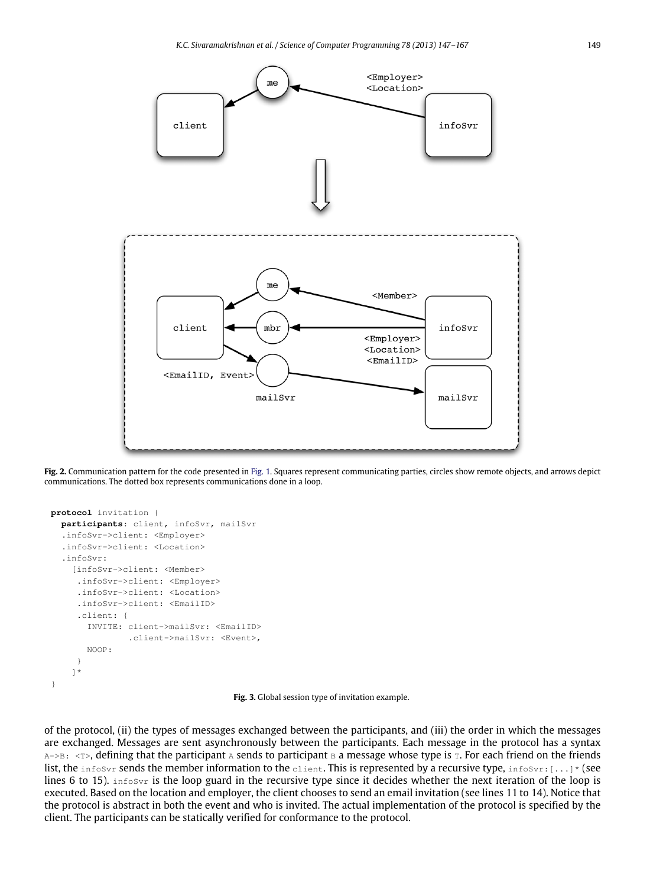<span id="page-2-0"></span>

<span id="page-2-1"></span>**Fig. 2.** Communication pattern for the code presented in [Fig. 1.](#page-1-0) Squares represent communicating parties, circles show remote objects, and arrows depict communications. The dotted box represents communications done in a loop.

```
protocol invitation {
 participants: client, infoSvr, mailSvr
  .infoSvr->client: <Employer>
  .infoSvr->client: <Location>
  .infoSvr:
   [infoSvr->client: <Member>
     .infoSvr->client: <Employer>
     .infoSvr->client: <Location>
     .infoSvr->client: <EmailID>
     .client: {
       INVITE: client->mailSvr: <EmailID>
               .client->mailSvr: <Event>,
      NOOP:
     }
    ]*
}
```
**Fig. 3.** Global session type of invitation example.

of the protocol, (ii) the types of messages exchanged between the participants, and (iii) the order in which the messages are exchanged. Messages are sent asynchronously between the participants. Each message in the protocol has a syntax  $A \rightarrow B$ :  $\langle T \rangle$ , defining that the participant A sends to participant B a message whose type is T. For each friend on the friends list, the infoSvr sends the member information to the client. This is represented by a recursive type, infoSvr: [...]\* (see lines 6 to 15). infosvr is the loop guard in the recursive type since it decides whether the next iteration of the loop is executed. Based on the location and employer, the client chooses to send an email invitation (see lines 11 to 14). Notice that the protocol is abstract in both the event and who is invited. The actual implementation of the protocol is specified by the client. The participants can be statically verified for conformance to the protocol.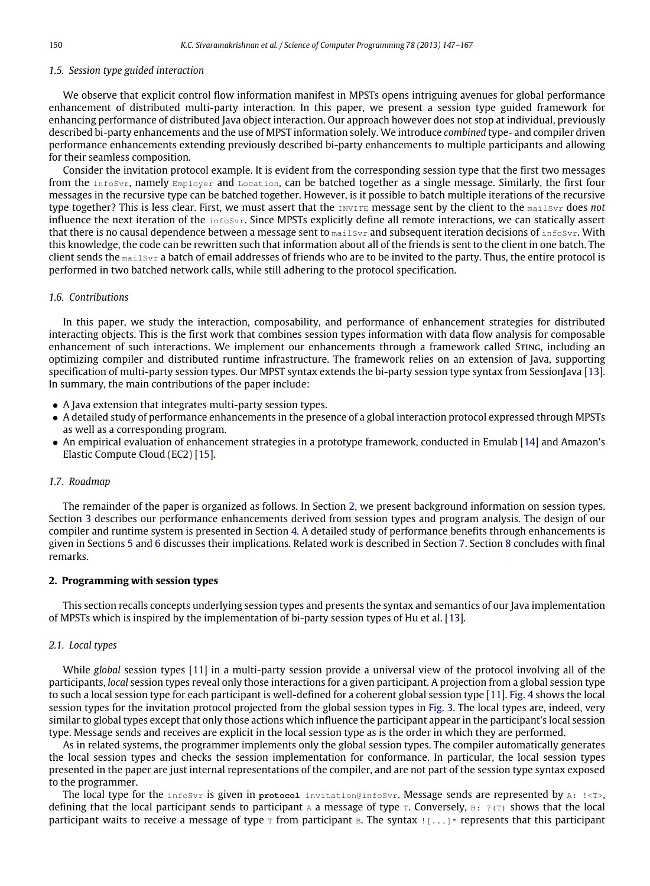#### *1.5. Session type guided interaction*

We observe that explicit control flow information manifest in MPSTs opens intriguing avenues for global performance enhancement of distributed multi-party interaction. In this paper, we present a session type guided framework for enhancing performance of distributed Java object interaction. Our approach however does not stop at individual, previously described bi-party enhancements and the use of MPST information solely. We introduce *combined* type- and compiler driven performance enhancements extending previously described bi-party enhancements to multiple participants and allowing for their seamless composition.

Consider the invitation protocol example. It is evident from the corresponding session type that the first two messages from the infoSvr, namely Employer and Location, can be batched together as a single message. Similarly, the first four messages in the recursive type can be batched together. However, is it possible to batch multiple iterations of the recursive type together? This is less clear. First, we must assert that the INVITE message sent by the client to the mailSvr does *not* influence the next iteration of the infosvr. Since MPSTs explicitly define all remote interactions, we can statically assert that there is no causal dependence between a message sent to  $_{\text{mailSvr}}$  and subsequent iteration decisions of  $_{\text{infoSvr}}$ . With this knowledge, the code can be rewritten such that information about all of the friends is sent to the client in one batch. The client sends the mailSvr a batch of email addresses of friends who are to be invited to the party. Thus, the entire protocol is performed in two batched network calls, while still adhering to the protocol specification.

#### *1.6. Contributions*

In this paper, we study the interaction, composability, and performance of enhancement strategies for distributed interacting objects. This is the first work that combines session types information with data flow analysis for composable enhancement of such interactions. We implement our enhancements through a framework called Sting, including an optimizing compiler and distributed runtime infrastructure. The framework relies on an extension of Java, supporting specification of multi-party session types. Our MPST syntax extends the bi-party session type syntax from SessionJava [\[13\]](#page-20-4). In summary, the main contributions of the paper include:

- A Java extension that integrates multi-party session types.
- A detailed study of performance enhancements in the presence of a global interaction protocol expressed through MPSTs as well as a corresponding program.
- An empirical evaluation of enhancement strategies in a prototype framework, conducted in Emulab [\[14\]](#page-20-5) and Amazon's Elastic Compute Cloud (EC2) [\[15\]](#page-20-6).

## *1.7. Roadmap*

The remainder of the paper is organized as follows. In Section [2,](#page-3-0) we present background information on session types. Section [3](#page-6-0) describes our performance enhancements derived from session types and program analysis. The design of our compiler and runtime system is presented in Section [4.](#page-10-0) A detailed study of performance benefits through enhancements is given in Sections [5](#page-12-0) and [6](#page-17-0) discusses their implications. Related work is described in Section [7.](#page-18-0) Section [8](#page-19-8) concludes with final remarks.

## <span id="page-3-0"></span>**2. Programming with session types**

This section recalls concepts underlying session types and presents the syntax and semantics of our Java implementation of MPSTs which is inspired by the implementation of bi-party session types of Hu et al. [\[13\]](#page-20-4).

## *2.1. Local types*

While *global* session types [\[11\]](#page-20-2) in a multi-party session provide a universal view of the protocol involving all of the participants, *local* session types reveal only those interactions for a given participant. A projection from a global session type to such a local session type for each participant is well-defined for a coherent global session type [\[11\]](#page-20-2). [Fig. 4](#page-4-0) shows the local session types for the invitation protocol projected from the global session types in [Fig. 3.](#page-2-1) The local types are, indeed, very similar to global types except that only those actions which influence the participant appear in the participant's local session type. Message sends and receives are explicit in the local session type as is the order in which they are performed.

As in related systems, the programmer implements only the global session types. The compiler automatically generates the local session types and checks the session implementation for conformance. In particular, the local session types presented in the paper are just internal representations of the compiler, and are not part of the session type syntax exposed to the programmer.

The local type for the infoSvr is given in **protocol** invitation@infoSvr. Message sends are represented by A: !<T>, defining that the local participant sends to participant A a message of type  $T$ . Conversely, B:  $2(T)$  shows that the local participant waits to receive a message of type  $T$  from participant B. The syntax  $T_1 \ldots T_k$  represents that this participant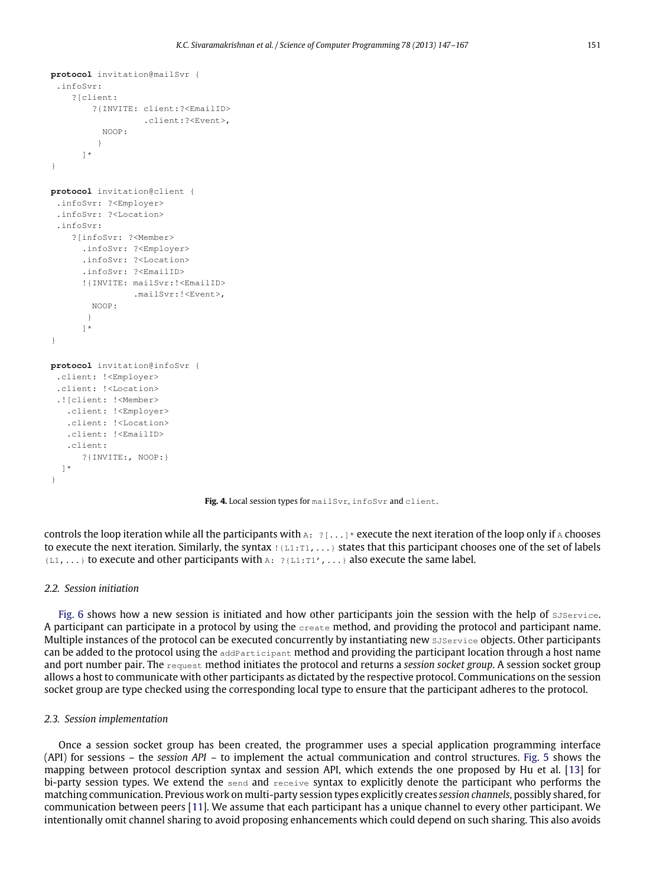```
protocol invitation@mailSvr {
 .infoSvr:
   ?[client:
       ?{INVITE: client:?<EmailID>
                 .client:?<Event>,
         NOOP:
        }
     ]*
}
protocol invitation@client {
 .infoSvr: ?<Employer>
 .infoSvr: ?<Location>
 .infoSvr:
   ?[infoSvr: ?<Member>
      .infoSvr: ?<Employer>
      .infoSvr: ?<Location>
      .infoSvr: ?<EmailID>
      !{INVITE: mailSvr:!<EmailID>
               .mailSvr:!<Event>,
       NOOP:
       }
     ]*
}
protocol invitation@infoSvr {
 .client: !<Employer>
 .client: !<Location>
 .![client: !<Member>
  .client: !<Employer>
  .client: !<Location>
  .client: !<EmailID>
  .client:
     ?{INVITE:, NOOP:}
 ]*
}
```
Fig. 4. Local session types for mailSvr, infoSvr and client.

controls the loop iteration while all the participants with  $A: 2[...]$ \* execute the next iteration of the loop only if A chooses to execute the next iteration. Similarly, the syntax  $\{L1:T1,\ldots\}$  states that this participant chooses one of the set of labels {L1,...} to execute and other participants with A: ?{L1:T1',...} also execute the same label.

#### *2.2. Session initiation*

[Fig. 6](#page-5-0) shows how a new session is initiated and how other participants join the session with the help of  $s$ JService. A participant can participate in a protocol by using the create method, and providing the protocol and participant name. Multiple instances of the protocol can be executed concurrently by instantiating new SJService objects. Other participants can be added to the protocol using the  $\alpha$ ddParticipant method and providing the participant location through a host name and port number pair. The request method initiates the protocol and returns a *session socket group*. A session socket group allows a host to communicate with other participants as dictated by the respective protocol. Communications on the session socket group are type checked using the corresponding local type to ensure that the participant adheres to the protocol.

#### <span id="page-4-1"></span>*2.3. Session implementation*

Once a session socket group has been created, the programmer uses a special application programming interface (API) for sessions – the *session API* – to implement the actual communication and control structures. [Fig. 5](#page-5-1) shows the mapping between protocol description syntax and session API, which extends the one proposed by Hu et al. [\[13\]](#page-20-4) for bi-party session types. We extend the send and receive syntax to explicitly denote the participant who performs the matching communication. Previous work on multi-party session types explicitly creates *session channels*, possibly shared, for communication between peers [\[11\]](#page-20-2). We assume that each participant has a unique channel to every other participant. We intentionally omit channel sharing to avoid proposing enhancements which could depend on such sharing. This also avoids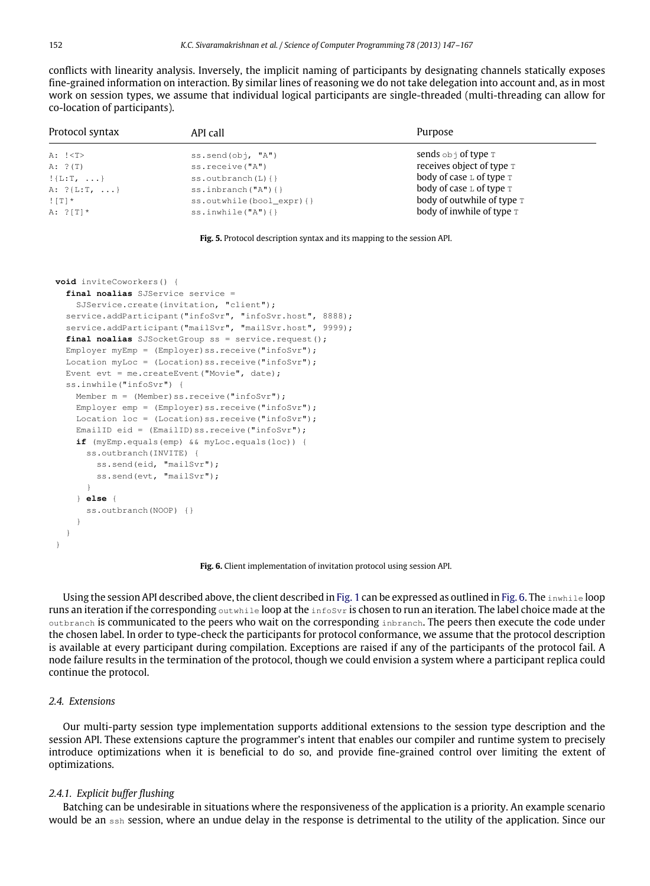<span id="page-5-1"></span>conflicts with linearity analysis. Inversely, the implicit naming of participants by designating channels statically exposes fine-grained information on interaction. By similar lines of reasoning we do not take delegation into account and, as in most work on session types, we assume that individual logical participants are single-threaded (multi-threading can allow for co-location of participants).

<span id="page-5-0"></span>

| Protocol syntax        | API call                 | Purpose                      |
|------------------------|--------------------------|------------------------------|
| $A: \quad !< T>$       | ss.send(obj, "A")        | sends $\circ$ bj of type T   |
| A: ?(T)                | ss.receive("A")          | receives object of type T    |
| $! \{L:T, \ldots\}$    | $ss.outbranch(L)$ { }    | body of case $L$ of type $T$ |
| $A: ?{L:T, }$          | $ss.inbranch("A")$ { }   | body of case $L$ of type $T$ |
| $!\lfloor T \rfloor$ * | ss.outwhile(bool_expr){} | body of outwhile of type T   |
| A: ?T                  | $ss.\in while("A")$ { }  | body of inwhile of type $T$  |

**Fig. 5.** Protocol description syntax and its mapping to the session API.

```
void inviteCoworkers() {
 final noalias SJService service =
   SJService.create(invitation, "client");
 service.addParticipant("infoSvr", "infoSvr.host", 8888);
 service.addParticipant("mailSvr", "mailSvr.host", 9999);
 final noalias SJSocketGroup ss = service.request();
 Employer myEmp = (Employer)ss.receive("infoSvr");
 Location myLoc = (Location)ss.receive("infoSvr");
 Event evt = me.createEvent("Movie", date);
 ss.inwhile("infoSvr") {
   Member m = (Member)ss.receive("infoSvr");
   Employer emp = (Employer)ss.receive("infoSvr");
    Location loc = (Location)ss.receive("infoSvr");
    EmailID eid = (EmailID)ss.receive("infoSvr");
   if (myEmp.equals(emp) && myLoc.equals(loc)) {
      ss.outbranch(INVITE) {
       ss.send(eid, "mailSvr");
       ss.send(evt, "mailSvr");
     }
   } else {
     ss.outbranch(NOOP) {}
   }
 }
}
```
**Fig. 6.** Client implementation of invitation protocol using session API.

Using the session API described above, the client described in [Fig. 1](#page-1-0) can be expressed as outlined in [Fig. 6.](#page-5-0) The inwhile loop runs an iteration if the corresponding  $_{\text{outwhile}}$  loop at the  $_{\text{infoSvr}}$  is chosen to run an iteration. The label choice made at the outbranch is communicated to the peers who wait on the corresponding inbranch. The peers then execute the code under the chosen label. In order to type-check the participants for protocol conformance, we assume that the protocol description is available at every participant during compilation. Exceptions are raised if any of the participants of the protocol fail. A node failure results in the termination of the protocol, though we could envision a system where a participant replica could continue the protocol.

## *2.4. Extensions*

Our multi-party session type implementation supports additional extensions to the session type description and the session API. These extensions capture the programmer's intent that enables our compiler and runtime system to precisely introduce optimizations when it is beneficial to do so, and provide fine-grained control over limiting the extent of optimizations.

#### *2.4.1. Explicit buffer flushing*

Batching can be undesirable in situations where the responsiveness of the application is a priority. An example scenario would be an ssh session, where an undue delay in the response is detrimental to the utility of the application. Since our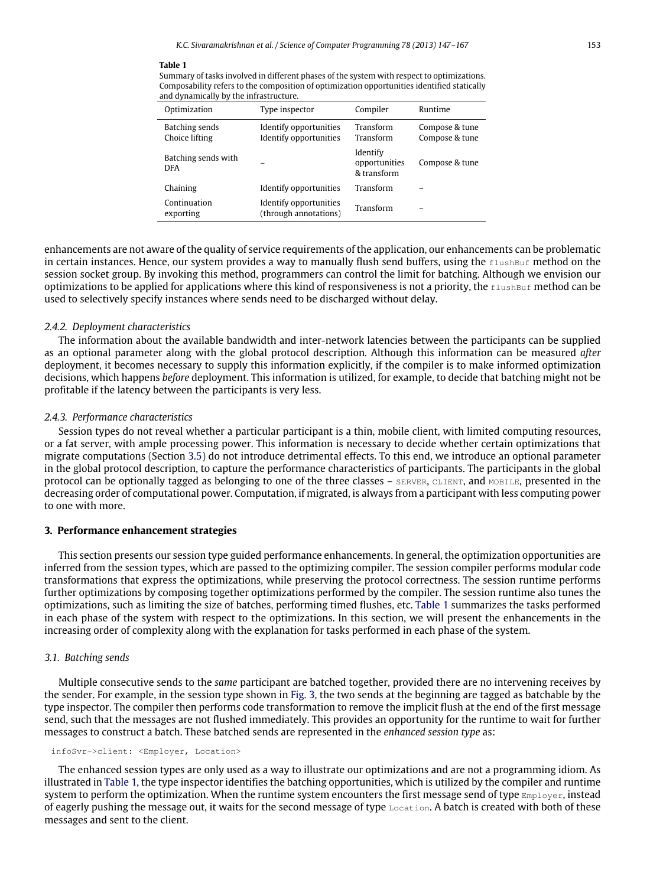#### **Table 1**

<span id="page-6-1"></span>Summary of tasks involved in different phases of the system with respect to optimizations. Composability refers to the composition of optimization opportunities identified statically and dynamically by the infrastructure.

| Optimization                      | Type inspector                                   | Compiler                                 | Runtime                          |
|-----------------------------------|--------------------------------------------------|------------------------------------------|----------------------------------|
| Batching sends<br>Choice lifting  | Identify opportunities<br>Identify opportunities | Transform<br>Transform                   | Compose & tune<br>Compose & tune |
| Batching sends with<br><b>DFA</b> |                                                  | Identify<br>opportunities<br>& transform | Compose & tune                   |
| Chaining                          | Identify opportunities                           | Transform                                |                                  |
| Continuation<br>exporting         | Identify opportunities<br>(through annotations)  | Transform                                |                                  |

enhancements are not aware of the quality of service requirements of the application, our enhancements can be problematic in certain instances. Hence, our system provides a way to manually flush send buffers, using the  $f$ lushBuf method on the session socket group. By invoking this method, programmers can control the limit for batching. Although we envision our optimizations to be applied for applications where this kind of responsiveness is not a priority, the flushBuf method can be used to selectively specify instances where sends need to be discharged without delay.

#### *2.4.2. Deployment characteristics*

The information about the available bandwidth and inter-network latencies between the participants can be supplied as an optional parameter along with the global protocol description. Although this information can be measured *after* deployment, it becomes necessary to supply this information explicitly, if the compiler is to make informed optimization decisions, which happens *before* deployment. This information is utilized, for example, to decide that batching might not be profitable if the latency between the participants is very less.

## *2.4.3. Performance characteristics*

Session types do not reveal whether a particular participant is a thin, mobile client, with limited computing resources, or a fat server, with ample processing power. This information is necessary to decide whether certain optimizations that migrate computations (Section [3.5\)](#page-10-1) do not introduce detrimental effects. To this end, we introduce an optional parameter in the global protocol description, to capture the performance characteristics of participants. The participants in the global protocol can be optionally tagged as belonging to one of the three classes – SERVER, CLIENT, and MOBILE, presented in the decreasing order of computational power. Computation, if migrated, is always from a participant with less computing power to one with more.

### <span id="page-6-0"></span>**3. Performance enhancement strategies**

This section presents our session type guided performance enhancements. In general, the optimization opportunities are inferred from the session types, which are passed to the optimizing compiler. The session compiler performs modular code transformations that express the optimizations, while preserving the protocol correctness. The session runtime performs further optimizations by composing together optimizations performed by the compiler. The session runtime also tunes the optimizations, such as limiting the size of batches, performing timed flushes, etc. [Table 1](#page-6-1) summarizes the tasks performed in each phase of the system with respect to the optimizations. In this section, we will present the enhancements in the increasing order of complexity along with the explanation for tasks performed in each phase of the system.

#### <span id="page-6-2"></span>*3.1. Batching sends*

Multiple consecutive sends to the *same* participant are batched together, provided there are no intervening receives by the sender. For example, in the session type shown in [Fig. 3,](#page-2-1) the two sends at the beginning are tagged as batchable by the type inspector. The compiler then performs code transformation to remove the implicit flush at the end of the first message send, such that the messages are not flushed immediately. This provides an opportunity for the runtime to wait for further messages to construct a batch. These batched sends are represented in the *enhanced session type* as:

infoSvr->client: <Employer, Location>

The enhanced session types are only used as a way to illustrate our optimizations and are not a programming idiom. As illustrated in [Table 1,](#page-6-1) the type inspector identifies the batching opportunities, which is utilized by the compiler and runtime system to perform the optimization. When the runtime system encounters the first message send of type  $_{Emp1oyer}$ , instead of eagerly pushing the message out, it waits for the second message of type Location. A batch is created with both of these messages and sent to the client.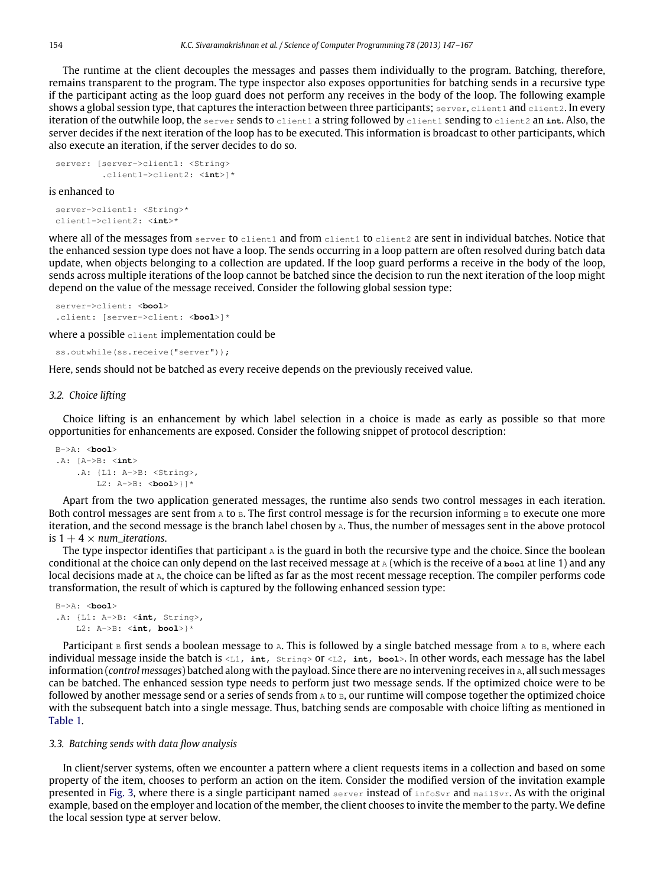The runtime at the client decouples the messages and passes them individually to the program. Batching, therefore, remains transparent to the program. The type inspector also exposes opportunities for batching sends in a recursive type if the participant acting as the loop guard does not perform any receives in the body of the loop. The following example shows a global session type, that captures the interaction between three participants; server, client1 and client2. In every iteration of the outwhile loop, the server sends to client1 a string followed by client1 sending to client2 an **int**. Also, the server decides if the next iteration of the loop has to be executed. This information is broadcast to other participants, which also execute an iteration, if the server decides to do so.

```
server: [server->client1: <String>
        .client1->client2: <int>]*
```
## is enhanced to

```
server->client1: <String>*
client1->client2: <int>*
```
where all of the messages from server to client1 and from client1 to client2 are sent in individual batches. Notice that the enhanced session type does not have a loop. The sends occurring in a loop pattern are often resolved during batch data update, when objects belonging to a collection are updated. If the loop guard performs a receive in the body of the loop, sends across multiple iterations of the loop cannot be batched since the decision to run the next iteration of the loop might depend on the value of the message received. Consider the following global session type:

```
server->client: <bool>
.client: [server->client: <bool>]*
```
where a possible client implementation could be

ss.outwhile(ss.receive("server"));

Here, sends should not be batched as every receive depends on the previously received value.

### *3.2. Choice lifting*

Choice lifting is an enhancement by which label selection in a choice is made as early as possible so that more opportunities for enhancements are exposed. Consider the following snippet of protocol description:

```
B->A: <bool>
.A: [A->B: <int>
    .A: {L1: A->B: <String>,
        L2: A->B: <bool>}]*
```
Apart from the two application generated messages, the runtime also sends two control messages in each iteration. Both control messages are sent from A to B. The first control message is for the recursion informing B to execute one more iteration, and the second message is the branch label chosen by A. Thus, the number of messages sent in the above protocol is  $1 + 4 \times$  *num iterations*.

The type inspector identifies that participant  $\Delta$  is the guard in both the recursive type and the choice. Since the boolean conditional at the choice can only depend on the last received message at A (which is the receive of a **bool** at line 1) and any local decisions made at  $A$ , the choice can be lifted as far as the most recent message reception. The compiler performs code transformation, the result of which is captured by the following enhanced session type:

```
B->A: <bool>
.A: {L1: A->B: <int, String>,
   L2: A->B: <int, bool>}*
```
Participant  $B$  first sends a boolean message to  $A$ . This is followed by a single batched message from  $A$  to  $B$ , where each individual message inside the batch is <L1, **int**, String> or <L2, **int**, **bool**>. In other words, each message has the label information (*control messages*) batched along with the payload. Since there are no intervening receives in <sub>A</sub>, all such messages can be batched. The enhanced session type needs to perform just two message sends. If the optimized choice were to be followed by another message send or a series of sends from  $A$  to  $B$ , our runtime will compose together the optimized choice with the subsequent batch into a single message. Thus, batching sends are composable with choice lifting as mentioned in [Table 1.](#page-6-1)

#### *3.3. Batching sends with data flow analysis*

In client/server systems, often we encounter a pattern where a client requests items in a collection and based on some property of the item, chooses to perform an action on the item. Consider the modified version of the invitation example presented in [Fig. 3,](#page-2-1) where there is a single participant named server instead of infoSvr and mailSvr. As with the original example, based on the employer and location of the member, the client chooses to invite the member to the party. We define the local session type at server below.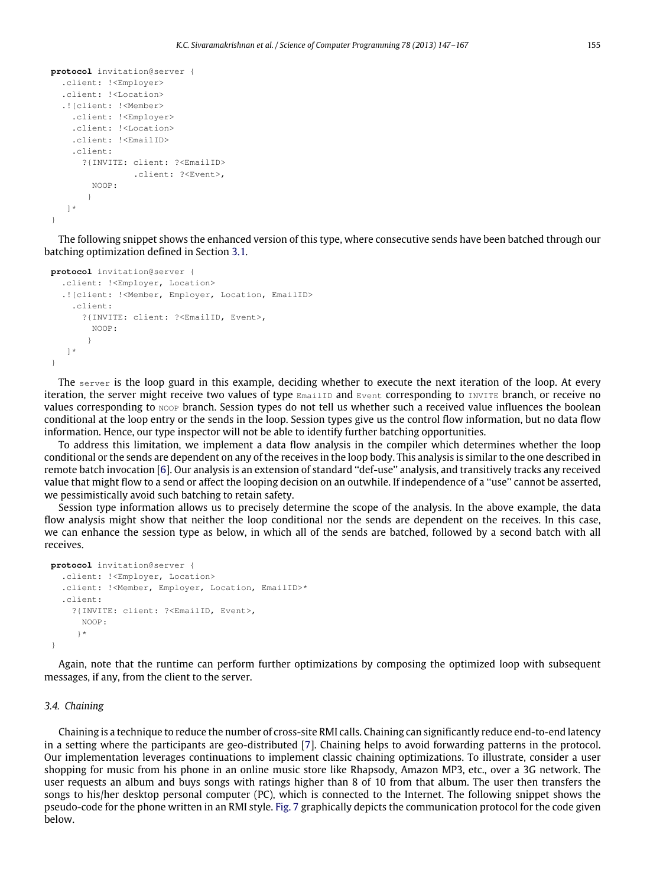```
protocol invitation@server {
 .client: !<Employer>
  .client: !<Location>
  .![client: !<Member>
    .client: !<Employer>
    .client: !<Location>
    .client: !<EmailID>
    .client:
     ?{INVITE: client: ?<EmailID>
               .client: ?<Event>,
       NOOP:
      }
  ]*
}
```
The following snippet shows the enhanced version of this type, where consecutive sends have been batched through our batching optimization defined in Section [3.1.](#page-6-2)

```
protocol invitation@server {
  .client: !<Employer, Location>
  .![client: !<Member, Employer, Location, EmailID>
    .client:
     ?{INVITE: client: ?<EmailID, Event>,
       NOOP:
      }
  ]*
}
```
The server is the loop guard in this example, deciding whether to execute the next iteration of the loop. At every iteration, the server might receive two values of type EmailID and Event corresponding to INVITE branch, or receive no values corresponding to NOOP branch. Session types do not tell us whether such a received value influences the boolean conditional at the loop entry or the sends in the loop. Session types give us the control flow information, but no data flow information. Hence, our type inspector will not be able to identify further batching opportunities.

To address this limitation, we implement a data flow analysis in the compiler which determines whether the loop conditional or the sends are dependent on any of the receives in the loop body. This analysis is similar to the one described in remote batch invocation [\[6\]](#page-19-5). Our analysis is an extension of standard ''def-use'' analysis, and transitively tracks any received value that might flow to a send or affect the looping decision on an outwhile. If independence of a ''use'' cannot be asserted, we pessimistically avoid such batching to retain safety.

Session type information allows us to precisely determine the scope of the analysis. In the above example, the data flow analysis might show that neither the loop conditional nor the sends are dependent on the receives. In this case, we can enhance the session type as below, in which all of the sends are batched, followed by a second batch with all receives.

```
protocol invitation@server {
 .client: !<Employer, Location>
  .client: !<Member, Employer, Location, EmailID>*
  .client:
    ?{INVITE: client: ?<EmailID, Event>,
     NOOP:
     }*
}
```
Again, note that the runtime can perform further optimizations by composing the optimized loop with subsequent messages, if any, from the client to the server.

#### <span id="page-8-0"></span>*3.4. Chaining*

Chaining is a technique to reduce the number of cross-site RMI calls. Chaining can significantly reduce end-to-end latency in a setting where the participants are geo-distributed [\[7\]](#page-19-6). Chaining helps to avoid forwarding patterns in the protocol. Our implementation leverages continuations to implement classic chaining optimizations. To illustrate, consider a user shopping for music from his phone in an online music store like Rhapsody, Amazon MP3, etc., over a 3G network. The user requests an album and buys songs with ratings higher than 8 of 10 from that album. The user then transfers the songs to his/her desktop personal computer (PC), which is connected to the Internet. The following snippet shows the pseudo-code for the phone written in an RMI style. [Fig. 7](#page-9-0) graphically depicts the communication protocol for the code given below.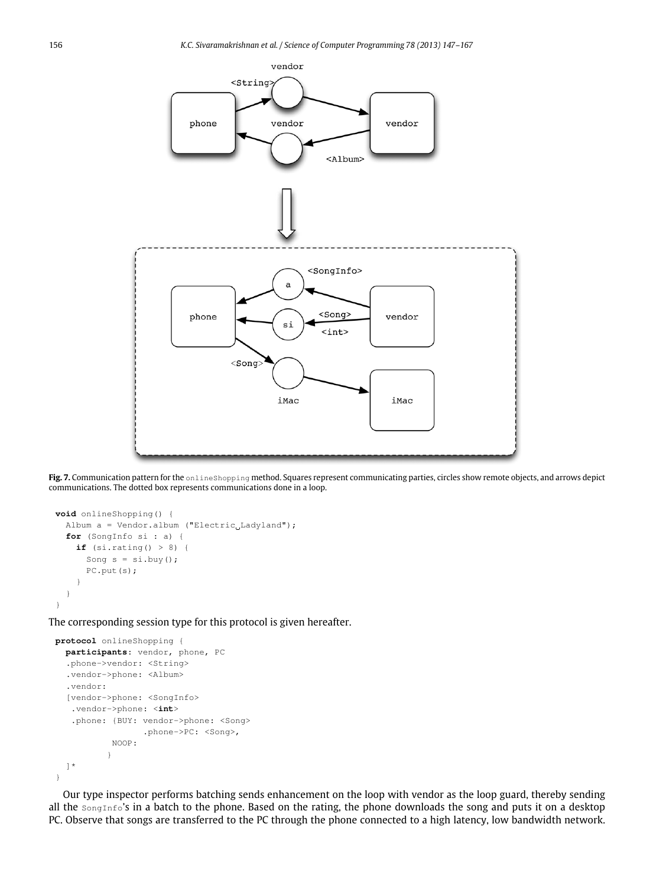<span id="page-9-0"></span>

**Fig. 7.** Communication pattern for the onlineShopping method. Squares represent communicating parties, circles show remote objects, and arrows depict communications. The dotted box represents communications done in a loop.

```
void onlineShopping() {
  Album a = Vendor.album ("Electric_Ladyland");
  for (SongInfo si : a) {
    if (si.rating() > 8) {
      Song s = si.buy();
      PC.put(s);
    }
  }
}
```
The corresponding session type for this protocol is given hereafter.

```
protocol onlineShopping {
 participants: vendor, phone, PC
  .phone->vendor: <String>
  .vendor->phone: <Album>
  .vendor:
  [vendor->phone: <SongInfo>
   .vendor->phone: <int>
   .phone: {BUY: vendor->phone: <Song>
                 .phone->PC: <Song>,
           NOOP:
          }
  ]*
}
```
Our type inspector performs batching sends enhancement on the loop with vendor as the loop guard, thereby sending all the SongInfo's in a batch to the phone. Based on the rating, the phone downloads the song and puts it on a desktop PC. Observe that songs are transferred to the PC through the phone connected to a high latency, low bandwidth network.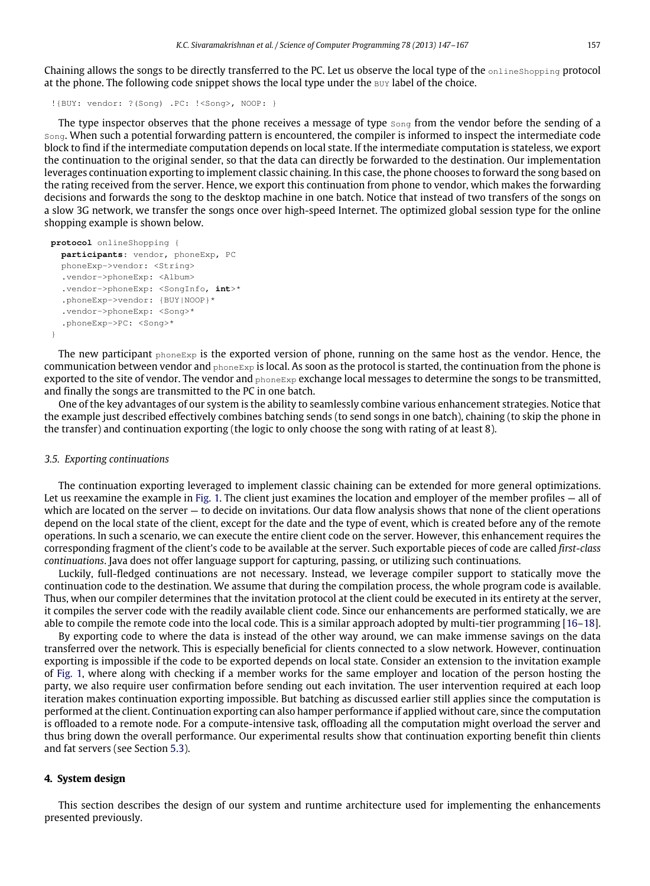Chaining allows the songs to be directly transferred to the PC. Let us observe the local type of the onlineShopping protocol at the phone. The following code snippet shows the local type under the  $BUT$  label of the choice.

```
!{BUY: vendor: ?(Song) .PC: !<Song>, NOOP: }
```
The type inspector observes that the phone receives a message of type  $Song$  from the vendor before the sending of a Song. When such a potential forwarding pattern is encountered, the compiler is informed to inspect the intermediate code block to find if the intermediate computation depends on local state. If the intermediate computation is stateless, we export the continuation to the original sender, so that the data can directly be forwarded to the destination. Our implementation leverages continuation exporting to implement classic chaining. In this case, the phone chooses to forward the song based on the rating received from the server. Hence, we export this continuation from phone to vendor, which makes the forwarding decisions and forwards the song to the desktop machine in one batch. Notice that instead of two transfers of the songs on a slow 3G network, we transfer the songs once over high-speed Internet. The optimized global session type for the online shopping example is shown below.

```
protocol onlineShopping {
  participants: vendor, phoneExp, PC
  phoneExp->vendor: <String>
  .vendor->phoneExp: <Album>
  .vendor->phoneExp: <SongInfo, int>*
  .phoneExp->vendor: {BUY|NOOP}*
  .vendor->phoneExp: <Song>*
  .phoneExp->PC: <Song>*
}
```
The new participant  $_{\text{phoneExp}}$  is the exported version of phone, running on the same host as the vendor. Hence, the communication between vendor and  $_{\text{phoneExp}}$  is local. As soon as the protocol is started, the continuation from the phone is exported to the site of vendor. The vendor and  $_{\text{phoneExp}}$  exchange local messages to determine the songs to be transmitted, and finally the songs are transmitted to the PC in one batch.

One of the key advantages of our system is the ability to seamlessly combine various enhancement strategies. Notice that the example just described effectively combines batching sends (to send songs in one batch), chaining (to skip the phone in the transfer) and continuation exporting (the logic to only choose the song with rating of at least 8).

#### <span id="page-10-1"></span>*3.5. Exporting continuations*

The continuation exporting leveraged to implement classic chaining can be extended for more general optimizations. Let us reexamine the example in [Fig. 1.](#page-1-0) The client just examines the location and employer of the member profiles — all of which are located on the server — to decide on invitations. Our data flow analysis shows that none of the client operations depend on the local state of the client, except for the date and the type of event, which is created before any of the remote operations. In such a scenario, we can execute the entire client code on the server. However, this enhancement requires the corresponding fragment of the client's code to be available at the server. Such exportable pieces of code are called *first-class continuations*. Java does not offer language support for capturing, passing, or utilizing such continuations.

Luckily, full-fledged continuations are not necessary. Instead, we leverage compiler support to statically move the continuation code to the destination. We assume that during the compilation process, the whole program code is available. Thus, when our compiler determines that the invitation protocol at the client could be executed in its entirety at the server, it compiles the server code with the readily available client code. Since our enhancements are performed statically, we are able to compile the remote code into the local code. This is a similar approach adopted by multi-tier programming [\[16–](#page-20-7)[18\]](#page-20-8).

By exporting code to where the data is instead of the other way around, we can make immense savings on the data transferred over the network. This is especially beneficial for clients connected to a slow network. However, continuation exporting is impossible if the code to be exported depends on local state. Consider an extension to the invitation example of [Fig. 1,](#page-1-0) where along with checking if a member works for the same employer and location of the person hosting the party, we also require user confirmation before sending out each invitation. The user intervention required at each loop iteration makes continuation exporting impossible. But batching as discussed earlier still applies since the computation is performed at the client. Continuation exporting can also hamper performance if applied without care, since the computation is offloaded to a remote node. For a compute-intensive task, offloading all the computation might overload the server and thus bring down the overall performance. Our experimental results show that continuation exporting benefit thin clients and fat servers (see Section [5.3\)](#page-13-0).

#### <span id="page-10-0"></span>**4. System design**

This section describes the design of our system and runtime architecture used for implementing the enhancements presented previously.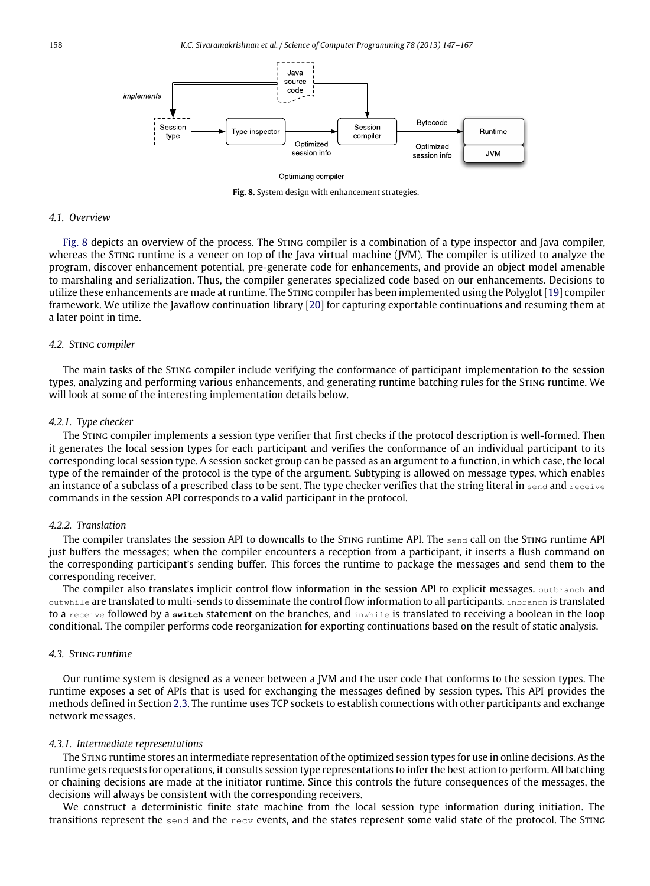<span id="page-11-0"></span>

**Fig. 8.** System design with enhancement strategies.

#### *4.1. Overview*

[Fig. 8](#page-11-0) depicts an overview of the process. The Sting compiler is a combination of a type inspector and Java compiler, whereas the Sting runtime is a veneer on top of the Java virtual machine (JVM). The compiler is utilized to analyze the program, discover enhancement potential, pre-generate code for enhancements, and provide an object model amenable to marshaling and serialization. Thus, the compiler generates specialized code based on our enhancements. Decisions to utilize these enhancements are made at runtime. The Sting compiler has been implemented using the Polyglot [\[19\]](#page-20-9) compiler framework. We utilize the Javaflow continuation library [\[20\]](#page-20-10) for capturing exportable continuations and resuming them at a later point in time.

#### *4.2.* Sting *compiler*

The main tasks of the Sting compiler include verifying the conformance of participant implementation to the session types, analyzing and performing various enhancements, and generating runtime batching rules for the Sting runtime. We will look at some of the interesting implementation details below.

#### *4.2.1. Type checker*

The Sting compiler implements a session type verifier that first checks if the protocol description is well-formed. Then it generates the local session types for each participant and verifies the conformance of an individual participant to its corresponding local session type. A session socket group can be passed as an argument to a function, in which case, the local type of the remainder of the protocol is the type of the argument. Subtyping is allowed on message types, which enables an instance of a subclass of a prescribed class to be sent. The type checker verifies that the string literal in send and receive commands in the session API corresponds to a valid participant in the protocol.

#### *4.2.2. Translation*

The compiler translates the session API to downcalls to the STING runtime API. The send call on the STING runtime API just buffers the messages; when the compiler encounters a reception from a participant, it inserts a flush command on the corresponding participant's sending buffer. This forces the runtime to package the messages and send them to the corresponding receiver.

The compiler also translates implicit control flow information in the session API to explicit messages. outbranch and outwhile are translated to multi-sends to disseminate the control flow information to all participants. inbranch is translated to a receive followed by a **switch** statement on the branches, and inwhile is translated to receiving a boolean in the loop conditional. The compiler performs code reorganization for exporting continuations based on the result of static analysis.

#### *4.3.* Sting *runtime*

Our runtime system is designed as a veneer between a JVM and the user code that conforms to the session types. The runtime exposes a set of APIs that is used for exchanging the messages defined by session types. This API provides the methods defined in Section [2.3.](#page-4-1) The runtime uses TCP sockets to establish connections with other participants and exchange network messages.

#### *4.3.1. Intermediate representations*

The Sting runtime stores an intermediate representation of the optimized session types for use in online decisions. As the runtime gets requests for operations, it consults session type representations to infer the best action to perform. All batching or chaining decisions are made at the initiator runtime. Since this controls the future consequences of the messages, the decisions will always be consistent with the corresponding receivers.

We construct a deterministic finite state machine from the local session type information during initiation. The transitions represent the send and the recv events, and the states represent some valid state of the protocol. The Sting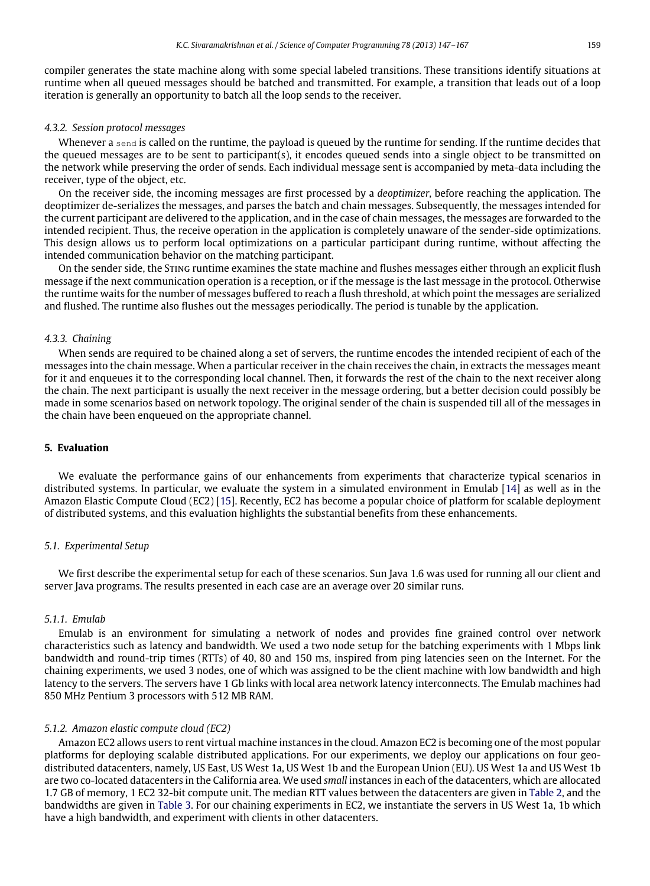compiler generates the state machine along with some special labeled transitions. These transitions identify situations at runtime when all queued messages should be batched and transmitted. For example, a transition that leads out of a loop iteration is generally an opportunity to batch all the loop sends to the receiver.

#### *4.3.2. Session protocol messages*

Whenever a send is called on the runtime, the payload is queued by the runtime for sending. If the runtime decides that the queued messages are to be sent to participant(s), it encodes queued sends into a single object to be transmitted on the network while preserving the order of sends. Each individual message sent is accompanied by meta-data including the receiver, type of the object, etc.

On the receiver side, the incoming messages are first processed by a *deoptimizer*, before reaching the application. The deoptimizer de-serializes the messages, and parses the batch and chain messages. Subsequently, the messages intended for the current participant are delivered to the application, and in the case of chain messages, the messages are forwarded to the intended recipient. Thus, the receive operation in the application is completely unaware of the sender-side optimizations. This design allows us to perform local optimizations on a particular participant during runtime, without affecting the intended communication behavior on the matching participant.

On the sender side, the Sting runtime examines the state machine and flushes messages either through an explicit flush message if the next communication operation is a reception, or if the message is the last message in the protocol. Otherwise the runtime waits for the number of messages buffered to reach a flush threshold, at which point the messages are serialized and flushed. The runtime also flushes out the messages periodically. The period is tunable by the application.

## *4.3.3. Chaining*

When sends are required to be chained along a set of servers, the runtime encodes the intended recipient of each of the messages into the chain message. When a particular receiver in the chain receives the chain, in extracts the messages meant for it and enqueues it to the corresponding local channel. Then, it forwards the rest of the chain to the next receiver along the chain. The next participant is usually the next receiver in the message ordering, but a better decision could possibly be made in some scenarios based on network topology. The original sender of the chain is suspended till all of the messages in the chain have been enqueued on the appropriate channel.

## <span id="page-12-0"></span>**5. Evaluation**

We evaluate the performance gains of our enhancements from experiments that characterize typical scenarios in distributed systems. In particular, we evaluate the system in a simulated environment in Emulab [\[14\]](#page-20-5) as well as in the Amazon Elastic Compute Cloud (EC2) [\[15\]](#page-20-6). Recently, EC2 has become a popular choice of platform for scalable deployment of distributed systems, and this evaluation highlights the substantial benefits from these enhancements.

## *5.1. Experimental Setup*

We first describe the experimental setup for each of these scenarios. Sun Java 1.6 was used for running all our client and server Java programs. The results presented in each case are an average over 20 similar runs.

## *5.1.1. Emulab*

Emulab is an environment for simulating a network of nodes and provides fine grained control over network characteristics such as latency and bandwidth. We used a two node setup for the batching experiments with 1 Mbps link bandwidth and round-trip times (RTTs) of 40, 80 and 150 ms, inspired from ping latencies seen on the Internet. For the chaining experiments, we used 3 nodes, one of which was assigned to be the client machine with low bandwidth and high latency to the servers. The servers have 1 Gb links with local area network latency interconnects. The Emulab machines had 850 MHz Pentium 3 processors with 512 MB RAM.

#### *5.1.2. Amazon elastic compute cloud (EC2)*

Amazon EC2 allows users to rent virtual machine instances in the cloud. Amazon EC2 is becoming one of the most popular platforms for deploying scalable distributed applications. For our experiments, we deploy our applications on four geodistributed datacenters, namely, US East, US West 1a, US West 1b and the European Union (EU). US West 1a and US West 1b are two co-located datacenters in the California area. We used *small* instances in each of the datacenters, which are allocated 1.7 GB of memory, 1 EC2 32-bit compute unit. The median RTT values between the datacenters are given in [Table 2,](#page-13-1) and the bandwidths are given in [Table 3.](#page-13-2) For our chaining experiments in EC2, we instantiate the servers in US West 1a, 1b which have a high bandwidth, and experiment with clients in other datacenters.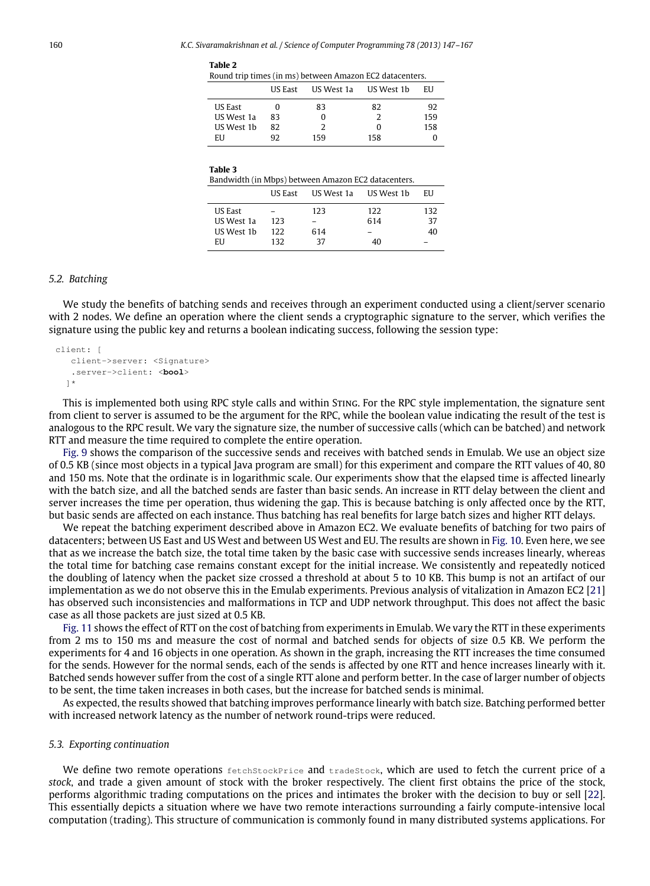**Table 2** 

<span id="page-13-1"></span>

| Table 2<br>Round trip times (in ms) between Amazon EC2 datacenters. |         |                       |     |     |  |  |  |
|---------------------------------------------------------------------|---------|-----------------------|-----|-----|--|--|--|
|                                                                     | US East | US West 1a US West 1b |     | EU  |  |  |  |
| <b>US East</b>                                                      |         | 83                    | 82  | 92  |  |  |  |
| US West 1a                                                          | 83      |                       |     | 159 |  |  |  |
| US West 1b                                                          | 82      |                       |     | 158 |  |  |  |
| EU                                                                  | 92      | 159                   | 158 |     |  |  |  |

<span id="page-13-2"></span>

| Table 3<br>Bandwidth (in Mbps) between Amazon EC2 datacenters. |                 |            |            |     |  |
|----------------------------------------------------------------|-----------------|------------|------------|-----|--|
|                                                                | <b>IIS East</b> | US West 1a | US West 1b | EU  |  |
| <b>US East</b>                                                 |                 | 123        | 122        | 132 |  |
| US West 1a                                                     | 123             |            | 614        | 37  |  |
| US West 1b                                                     | 122             | 614        |            | 40  |  |
| EH                                                             | 132             | 37         |            |     |  |

#### <span id="page-13-3"></span>*5.2. Batching*

We study the benefits of batching sends and receives through an experiment conducted using a client/server scenario with 2 nodes. We define an operation where the client sends a cryptographic signature to the server, which verifies the signature using the public key and returns a boolean indicating success, following the session type:

```
client: [
  client->server: <Signature>
   .server->client: <bool>
  ]*
```
This is implemented both using RPC style calls and within STING. For the RPC style implementation, the signature sent from client to server is assumed to be the argument for the RPC, while the boolean value indicating the result of the test is analogous to the RPC result. We vary the signature size, the number of successive calls (which can be batched) and network RTT and measure the time required to complete the entire operation.

[Fig. 9](#page-14-0) shows the comparison of the successive sends and receives with batched sends in Emulab. We use an object size of 0.5 KB (since most objects in a typical Java program are small) for this experiment and compare the RTT values of 40, 80 and 150 ms. Note that the ordinate is in logarithmic scale. Our experiments show that the elapsed time is affected linearly with the batch size, and all the batched sends are faster than basic sends. An increase in RTT delay between the client and server increases the time per operation, thus widening the gap. This is because batching is only affected once by the RTT, but basic sends are affected on each instance. Thus batching has real benefits for large batch sizes and higher RTT delays.

We repeat the batching experiment described above in Amazon EC2. We evaluate benefits of batching for two pairs of datacenters; between US East and US West and between US West and EU. The results are shown in [Fig. 10.](#page-14-1) Even here, we see that as we increase the batch size, the total time taken by the basic case with successive sends increases linearly, whereas the total time for batching case remains constant except for the initial increase. We consistently and repeatedly noticed the doubling of latency when the packet size crossed a threshold at about 5 to 10 KB. This bump is not an artifact of our implementation as we do not observe this in the Emulab experiments. Previous analysis of vitalization in Amazon EC2 [\[21\]](#page-20-11) has observed such inconsistencies and malformations in TCP and UDP network throughput. This does not affect the basic case as all those packets are just sized at 0.5 KB.

[Fig. 11](#page-14-2) shows the effect of RTT on the cost of batching from experiments in Emulab. We vary the RTT in these experiments from 2 ms to 150 ms and measure the cost of normal and batched sends for objects of size 0.5 KB. We perform the experiments for 4 and 16 objects in one operation. As shown in the graph, increasing the RTT increases the time consumed for the sends. However for the normal sends, each of the sends is affected by one RTT and hence increases linearly with it. Batched sends however suffer from the cost of a single RTT alone and perform better. In the case of larger number of objects to be sent, the time taken increases in both cases, but the increase for batched sends is minimal.

As expected, the results showed that batching improves performance linearly with batch size. Batching performed better with increased network latency as the number of network round-trips were reduced.

#### <span id="page-13-0"></span>*5.3. Exporting continuation*

We define two remote operations fetchStockPrice and tradeStock, which are used to fetch the current price of a *stock*, and trade a given amount of stock with the broker respectively. The client first obtains the price of the stock, performs algorithmic trading computations on the prices and intimates the broker with the decision to buy or sell [\[22\]](#page-20-12). This essentially depicts a situation where we have two remote interactions surrounding a fairly compute-intensive local computation (trading). This structure of communication is commonly found in many distributed systems applications. For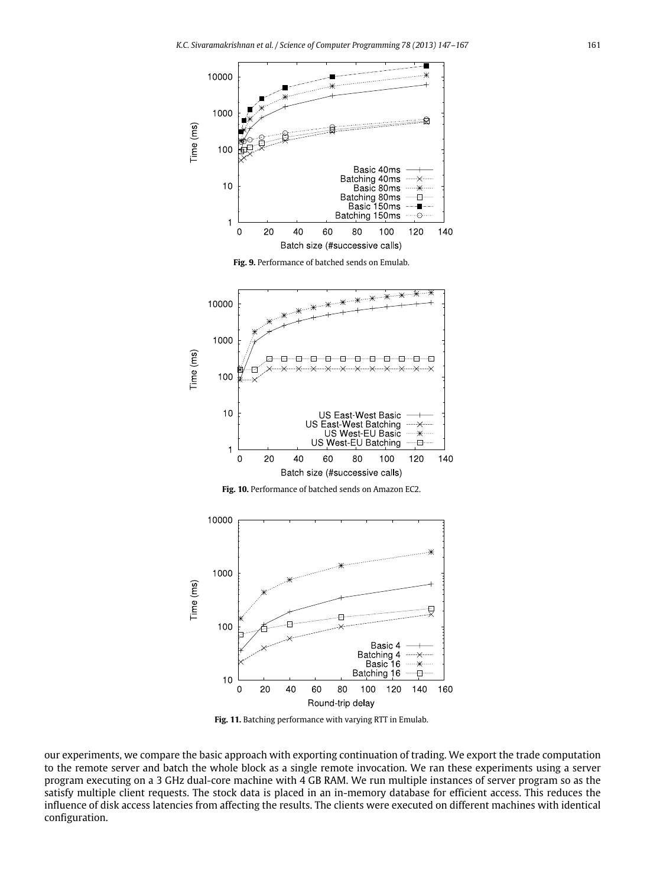<span id="page-14-0"></span>

<span id="page-14-1"></span>



<span id="page-14-2"></span>

**Fig. 11.** Batching performance with varying RTT in Emulab.

our experiments, we compare the basic approach with exporting continuation of trading. We export the trade computation to the remote server and batch the whole block as a single remote invocation. We ran these experiments using a server program executing on a 3 GHz dual-core machine with 4 GB RAM. We run multiple instances of server program so as the satisfy multiple client requests. The stock data is placed in an in-memory database for efficient access. This reduces the influence of disk access latencies from affecting the results. The clients were executed on different machines with identical configuration.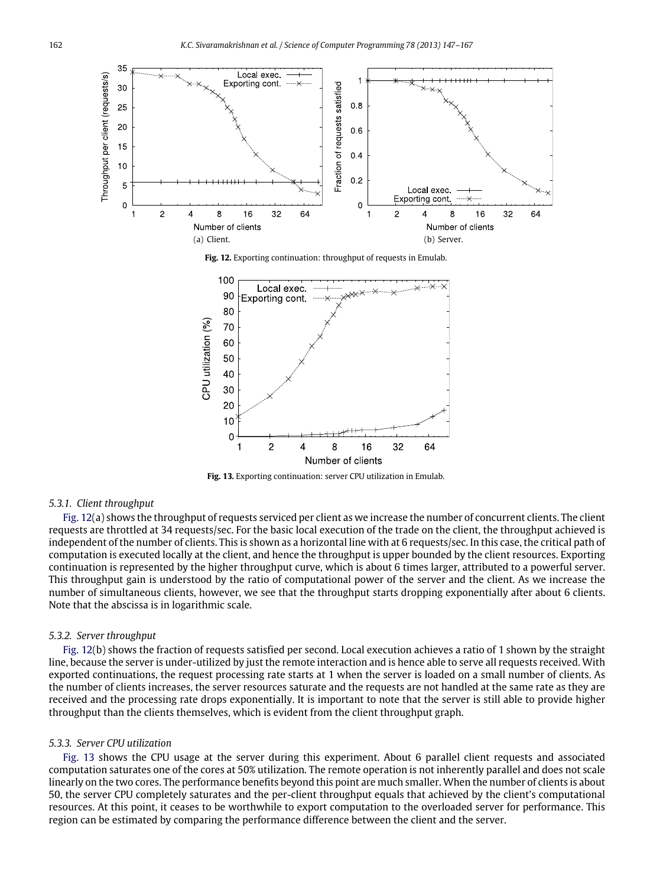<span id="page-15-0"></span>

**Fig. 12.** Exporting continuation: throughput of requests in Emulab.

<span id="page-15-1"></span>

**Fig. 13.** Exporting continuation: server CPU utilization in Emulab.

#### *5.3.1. Client throughput*

[Fig. 12\(](#page-15-0)a) shows the throughput of requests serviced per client as we increase the number of concurrent clients. The client requests are throttled at 34 requests/sec. For the basic local execution of the trade on the client, the throughput achieved is independent of the number of clients. This is shown as a horizontal line with at 6 requests/sec. In this case, the critical path of computation is executed locally at the client, and hence the throughput is upper bounded by the client resources. Exporting continuation is represented by the higher throughput curve, which is about 6 times larger, attributed to a powerful server. This throughput gain is understood by the ratio of computational power of the server and the client. As we increase the number of simultaneous clients, however, we see that the throughput starts dropping exponentially after about 6 clients. Note that the abscissa is in logarithmic scale.

#### *5.3.2. Server throughput*

[Fig. 12\(](#page-15-0)b) shows the fraction of requests satisfied per second. Local execution achieves a ratio of 1 shown by the straight line, because the server is under-utilized by just the remote interaction and is hence able to serve all requests received. With exported continuations, the request processing rate starts at 1 when the server is loaded on a small number of clients. As the number of clients increases, the server resources saturate and the requests are not handled at the same rate as they are received and the processing rate drops exponentially. It is important to note that the server is still able to provide higher throughput than the clients themselves, which is evident from the client throughput graph.

## *5.3.3. Server CPU utilization*

[Fig. 13](#page-15-1) shows the CPU usage at the server during this experiment. About 6 parallel client requests and associated computation saturates one of the cores at 50% utilization. The remote operation is not inherently parallel and does not scale linearly on the two cores. The performance benefits beyond this point are much smaller. When the number of clients is about 50, the server CPU completely saturates and the per-client throughput equals that achieved by the client's computational resources. At this point, it ceases to be worthwhile to export computation to the overloaded server for performance. This region can be estimated by comparing the performance difference between the client and the server.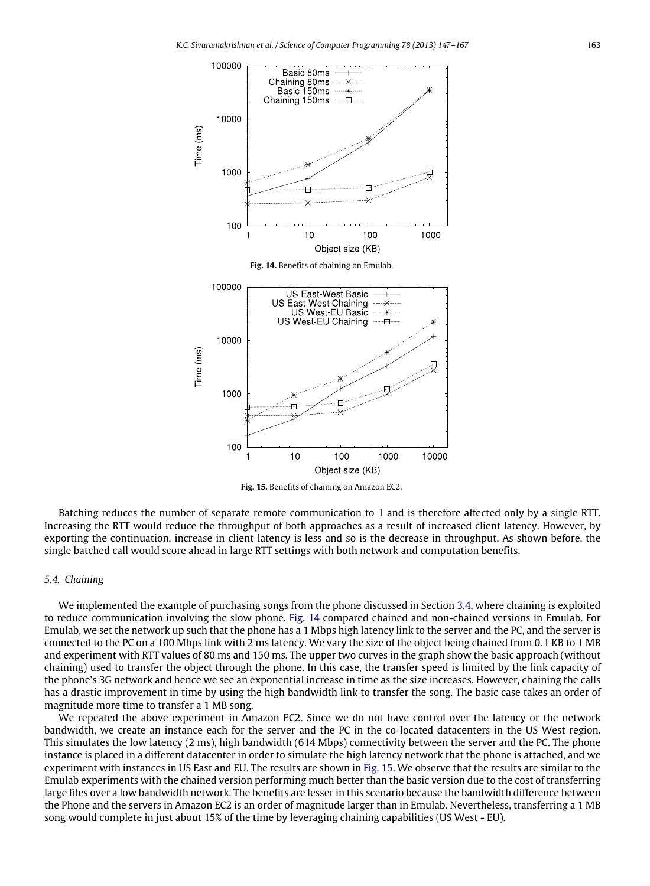<span id="page-16-0"></span>

**Fig. 15.** Benefits of chaining on Amazon EC2.

<span id="page-16-1"></span>Batching reduces the number of separate remote communication to 1 and is therefore affected only by a single RTT. Increasing the RTT would reduce the throughput of both approaches as a result of increased client latency. However, by exporting the continuation, increase in client latency is less and so is the decrease in throughput. As shown before, the single batched call would score ahead in large RTT settings with both network and computation benefits.

#### *5.4. Chaining*

We implemented the example of purchasing songs from the phone discussed in Section [3.4,](#page-8-0) where chaining is exploited to reduce communication involving the slow phone. [Fig. 14](#page-16-0) compared chained and non-chained versions in Emulab. For Emulab, we set the network up such that the phone has a 1 Mbps high latency link to the server and the PC, and the server is connected to the PC on a 100 Mbps link with 2 ms latency. We vary the size of the object being chained from 0.1 KB to 1 MB and experiment with RTT values of 80 ms and 150 ms. The upper two curves in the graph show the basic approach (without chaining) used to transfer the object through the phone. In this case, the transfer speed is limited by the link capacity of the phone's 3G network and hence we see an exponential increase in time as the size increases. However, chaining the calls has a drastic improvement in time by using the high bandwidth link to transfer the song. The basic case takes an order of magnitude more time to transfer a 1 MB song.

We repeated the above experiment in Amazon EC2. Since we do not have control over the latency or the network bandwidth, we create an instance each for the server and the PC in the co-located datacenters in the US West region. This simulates the low latency (2 ms), high bandwidth (614 Mbps) connectivity between the server and the PC. The phone instance is placed in a different datacenter in order to simulate the high latency network that the phone is attached, and we experiment with instances in US East and EU. The results are shown in [Fig. 15.](#page-16-1) We observe that the results are similar to the Emulab experiments with the chained version performing much better than the basic version due to the cost of transferring large files over a low bandwidth network. The benefits are lesser in this scenario because the bandwidth difference between the Phone and the servers in Amazon EC2 is an order of magnitude larger than in Emulab. Nevertheless, transferring a 1 MB song would complete in just about 15% of the time by leveraging chaining capabilities (US West - EU).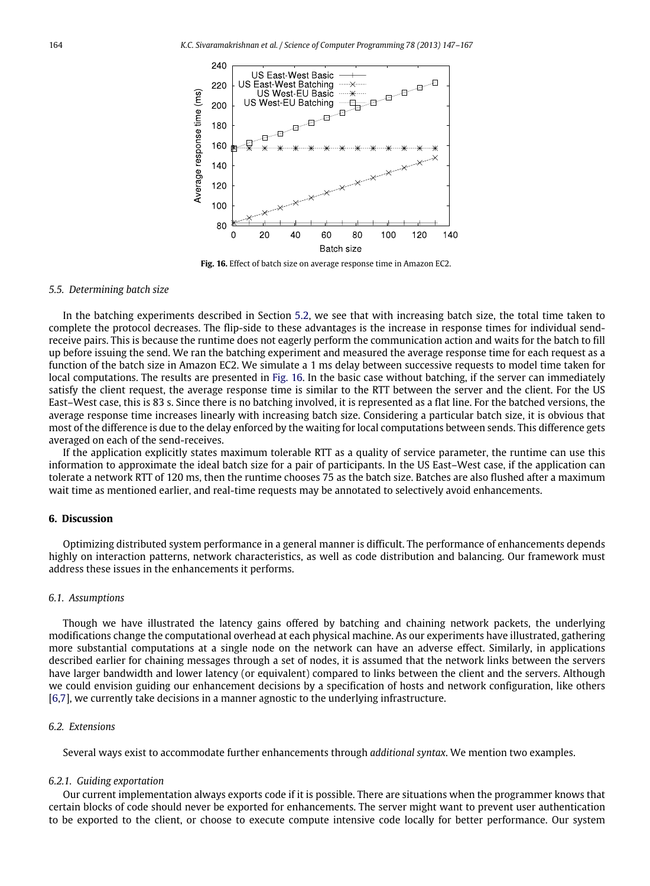<span id="page-17-1"></span>

**Fig. 16.** Effect of batch size on average response time in Amazon EC2.

## *5.5. Determining batch size*

In the batching experiments described in Section [5.2,](#page-13-3) we see that with increasing batch size, the total time taken to complete the protocol decreases. The flip-side to these advantages is the increase in response times for individual sendreceive pairs. This is because the runtime does not eagerly perform the communication action and waits for the batch to fill up before issuing the send. We ran the batching experiment and measured the average response time for each request as a function of the batch size in Amazon EC2. We simulate a 1 ms delay between successive requests to model time taken for local computations. The results are presented in [Fig. 16.](#page-17-1) In the basic case without batching, if the server can immediately satisfy the client request, the average response time is similar to the RTT between the server and the client. For the US East–West case, this is 83 s. Since there is no batching involved, it is represented as a flat line. For the batched versions, the average response time increases linearly with increasing batch size. Considering a particular batch size, it is obvious that most of the difference is due to the delay enforced by the waiting for local computations between sends. This difference gets averaged on each of the send-receives.

If the application explicitly states maximum tolerable RTT as a quality of service parameter, the runtime can use this information to approximate the ideal batch size for a pair of participants. In the US East–West case, if the application can tolerate a network RTT of 120 ms, then the runtime chooses 75 as the batch size. Batches are also flushed after a maximum wait time as mentioned earlier, and real-time requests may be annotated to selectively avoid enhancements.

## <span id="page-17-0"></span>**6. Discussion**

Optimizing distributed system performance in a general manner is difficult. The performance of enhancements depends highly on interaction patterns, network characteristics, as well as code distribution and balancing. Our framework must address these issues in the enhancements it performs.

#### *6.1. Assumptions*

Though we have illustrated the latency gains offered by batching and chaining network packets, the underlying modifications change the computational overhead at each physical machine. As our experiments have illustrated, gathering more substantial computations at a single node on the network can have an adverse effect. Similarly, in applications described earlier for chaining messages through a set of nodes, it is assumed that the network links between the servers have larger bandwidth and lower latency (or equivalent) compared to links between the client and the servers. Although we could envision guiding our enhancement decisions by a specification of hosts and network configuration, like others [\[6,](#page-19-5)[7\]](#page-19-6), we currently take decisions in a manner agnostic to the underlying infrastructure.

#### *6.2. Extensions*

Several ways exist to accommodate further enhancements through *additional syntax*. We mention two examples.

#### *6.2.1. Guiding exportation*

Our current implementation always exports code if it is possible. There are situations when the programmer knows that certain blocks of code should never be exported for enhancements. The server might want to prevent user authentication to be exported to the client, or choose to execute compute intensive code locally for better performance. Our system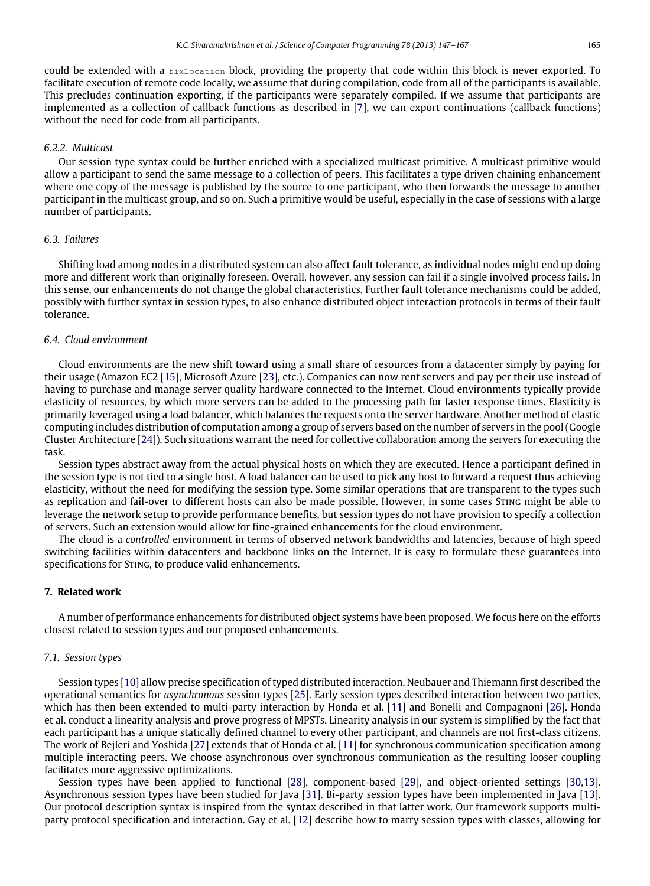could be extended with a  $f(x)$  fixLocation block, providing the property that code within this block is never exported. To facilitate execution of remote code locally, we assume that during compilation, code from all of the participants is available. This precludes continuation exporting, if the participants were separately compiled. If we assume that participants are implemented as a collection of callback functions as described in [\[7\]](#page-19-6), we can export continuations (callback functions) without the need for code from all participants.

## *6.2.2. Multicast*

Our session type syntax could be further enriched with a specialized multicast primitive. A multicast primitive would allow a participant to send the same message to a collection of peers. This facilitates a type driven chaining enhancement where one copy of the message is published by the source to one participant, who then forwards the message to another participant in the multicast group, and so on. Such a primitive would be useful, especially in the case of sessions with a large number of participants.

## *6.3. Failures*

Shifting load among nodes in a distributed system can also affect fault tolerance, as individual nodes might end up doing more and different work than originally foreseen. Overall, however, any session can fail if a single involved process fails. In this sense, our enhancements do not change the global characteristics. Further fault tolerance mechanisms could be added, possibly with further syntax in session types, to also enhance distributed object interaction protocols in terms of their fault tolerance.

## *6.4. Cloud environment*

Cloud environments are the new shift toward using a small share of resources from a datacenter simply by paying for their usage (Amazon EC2 [\[15\]](#page-20-6), Microsoft Azure [\[23\]](#page-20-13), etc.). Companies can now rent servers and pay per their use instead of having to purchase and manage server quality hardware connected to the Internet. Cloud environments typically provide elasticity of resources, by which more servers can be added to the processing path for faster response times. Elasticity is primarily leveraged using a load balancer, which balances the requests onto the server hardware. Another method of elastic computing includes distribution of computation among a group of servers based on the number of servers in the pool (Google Cluster Architecture [\[24\]](#page-20-14)). Such situations warrant the need for collective collaboration among the servers for executing the task.

Session types abstract away from the actual physical hosts on which they are executed. Hence a participant defined in the session type is not tied to a single host. A load balancer can be used to pick any host to forward a request thus achieving elasticity, without the need for modifying the session type. Some similar operations that are transparent to the types such as replication and fail-over to different hosts can also be made possible. However, in some cases Sting might be able to leverage the network setup to provide performance benefits, but session types do not have provision to specify a collection of servers. Such an extension would allow for fine-grained enhancements for the cloud environment.

The cloud is a *controlled* environment in terms of observed network bandwidths and latencies, because of high speed switching facilities within datacenters and backbone links on the Internet. It is easy to formulate these guarantees into specifications for STING, to produce valid enhancements.

## <span id="page-18-0"></span>**7. Related work**

A number of performance enhancements for distributed object systems have been proposed. We focus here on the efforts closest related to session types and our proposed enhancements.

## *7.1. Session types*

Session types [\[10\]](#page-20-1) allow precise specification of typed distributed interaction. Neubauer and Thiemann first described the operational semantics for *asynchronous* session types [\[25\]](#page-20-15). Early session types described interaction between two parties, which has then been extended to multi-party interaction by Honda et al. [\[11\]](#page-20-2) and Bonelli and Compagnoni [\[26\]](#page-20-16). Honda et al. conduct a linearity analysis and prove progress of MPSTs. Linearity analysis in our system is simplified by the fact that each participant has a unique statically defined channel to every other participant, and channels are not first-class citizens. The work of Bejleri and Yoshida [\[27\]](#page-20-17) extends that of Honda et al. [\[11\]](#page-20-2) for synchronous communication specification among multiple interacting peers. We choose asynchronous over synchronous communication as the resulting looser coupling facilitates more aggressive optimizations.

Session types have been applied to functional [\[28\]](#page-20-18), component-based [\[29\]](#page-20-19), and object-oriented settings [\[30,](#page-20-20)[13\]](#page-20-4). Asynchronous session types have been studied for Java [\[31\]](#page-20-21). Bi-party session types have been implemented in Java [\[13\]](#page-20-4). Our protocol description syntax is inspired from the syntax described in that latter work. Our framework supports multiparty protocol specification and interaction. Gay et al. [\[12\]](#page-20-3) describe how to marry session types with classes, allowing for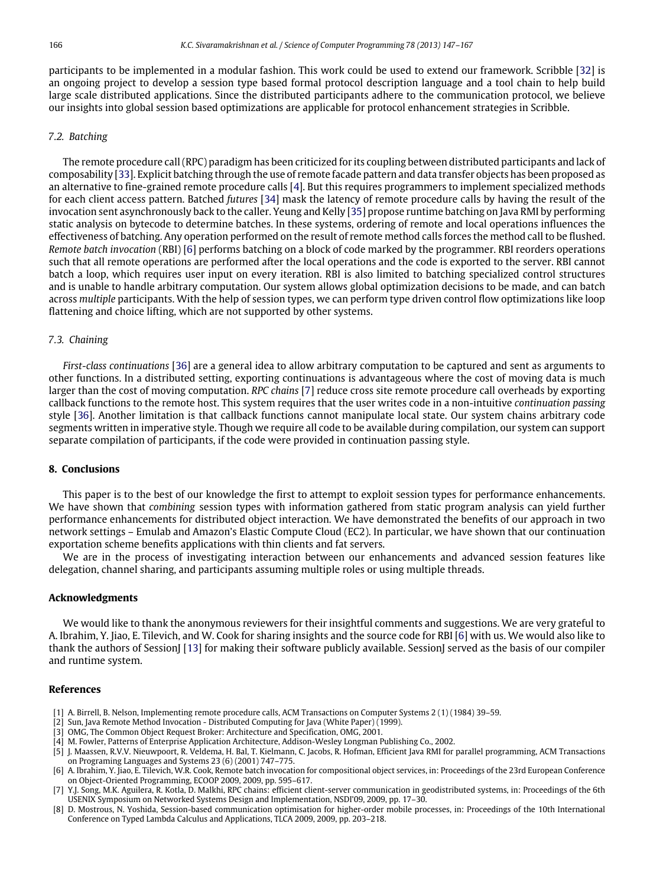participants to be implemented in a modular fashion. This work could be used to extend our framework. Scribble [\[32\]](#page-20-22) is an ongoing project to develop a session type based formal protocol description language and a tool chain to help build large scale distributed applications. Since the distributed participants adhere to the communication protocol, we believe our insights into global session based optimizations are applicable for protocol enhancement strategies in Scribble.

## *7.2. Batching*

The remote procedure call (RPC) paradigm has been criticized for its coupling between distributed participants and lack of composability [\[33\]](#page-20-23). Explicit batching through the use of remote facade pattern and data transfer objects has been proposed as an alternative to fine-grained remote procedure calls [\[4\]](#page-19-3). But this requires programmers to implement specialized methods for each client access pattern. Batched *futures* [\[34\]](#page-20-24) mask the latency of remote procedure calls by having the result of the invocation sent asynchronously back to the caller. Yeung and Kelly [\[35\]](#page-20-25) propose runtime batching on Java RMI by performing static analysis on bytecode to determine batches. In these systems, ordering of remote and local operations influences the effectiveness of batching. Any operation performed on the result of remote method calls forces the method call to be flushed. *Remote batch invocation* (RBI) [\[6\]](#page-19-5) performs batching on a block of code marked by the programmer. RBI reorders operations such that all remote operations are performed after the local operations and the code is exported to the server. RBI cannot batch a loop, which requires user input on every iteration. RBI is also limited to batching specialized control structures and is unable to handle arbitrary computation. Our system allows global optimization decisions to be made, and can batch across *multiple* participants. With the help of session types, we can perform type driven control flow optimizations like loop flattening and choice lifting, which are not supported by other systems.

## *7.3. Chaining*

*First-class continuations* [\[36\]](#page-20-26) are a general idea to allow arbitrary computation to be captured and sent as arguments to other functions. In a distributed setting, exporting continuations is advantageous where the cost of moving data is much larger than the cost of moving computation. *RPC chains* [\[7\]](#page-19-6) reduce cross site remote procedure call overheads by exporting callback functions to the remote host. This system requires that the user writes code in a non-intuitive *continuation passing* style [\[36\]](#page-20-26). Another limitation is that callback functions cannot manipulate local state. Our system chains arbitrary code segments written in imperative style. Though we require all code to be available during compilation, our system can support separate compilation of participants, if the code were provided in continuation passing style.

#### <span id="page-19-8"></span>**8. Conclusions**

This paper is to the best of our knowledge the first to attempt to exploit session types for performance enhancements. We have shown that *combining* session types with information gathered from static program analysis can yield further performance enhancements for distributed object interaction. We have demonstrated the benefits of our approach in two network settings – Emulab and Amazon's Elastic Compute Cloud (EC2). In particular, we have shown that our continuation exportation scheme benefits applications with thin clients and fat servers.

We are in the process of investigating interaction between our enhancements and advanced session features like delegation, channel sharing, and participants assuming multiple roles or using multiple threads.

## **Acknowledgments**

We would like to thank the anonymous reviewers for their insightful comments and suggestions. We are very grateful to A. Ibrahim, Y. Jiao, E. Tilevich, and W. Cook for sharing insights and the source code for RBI [\[6\]](#page-19-5) with us. We would also like to thank the authors of Session] [\[13\]](#page-20-4) for making their software publicly available. Session] served as the basis of our compiler and runtime system.

## **References**

- <span id="page-19-0"></span>[1] A. Birrell, B. Nelson, Implementing remote procedure calls, ACM Transactions on Computer Systems 2 (1) (1984) 39–59.
- <span id="page-19-1"></span>[2] Sun, Java Remote Method Invocation - Distributed Computing for Java (White Paper) (1999).
- <span id="page-19-2"></span>[3] OMG, The Common Object Request Broker: Architecture and Specification, OMG, 2001.
- <span id="page-19-3"></span>[4] M. Fowler, Patterns of Enterprise Application Architecture, Addison-Wesley Longman Publishing Co., 2002.
- <span id="page-19-4"></span>[5] J. Maassen, R.V.V. Nieuwpoort, R. Veldema, H. Bal, T. Kielmann, C. Jacobs, R. Hofman, Efficient Java RMI for parallel programming, ACM Transactions on Programing Languages and Systems 23 (6) (2001) 747–775.
- <span id="page-19-5"></span>[6] A. Ibrahim, Y. Jiao, E. Tilevich, W.R. Cook, Remote batch invocation for compositional object services, in: Proceedings of the 23rd European Conference on Object-Oriented Programming, ECOOP 2009, 2009, pp. 595–617.
- <span id="page-19-6"></span>[7] Y.J. Song, M.K. Aguilera, R. Kotla, D. Malkhi, RPC chains: efficient client-server communication in geodistributed systems, in: Proceedings of the 6th USENIX Symposium on Networked Systems Design and Implementation, NSDI'09, 2009, pp. 17–30.
- <span id="page-19-7"></span>[8] D. Mostrous, N. Yoshida, Session-based communication optimisation for higher-order mobile processes, in: Proceedings of the 10th International Conference on Typed Lambda Calculus and Applications, TLCA 2009, 2009, pp. 203-218.